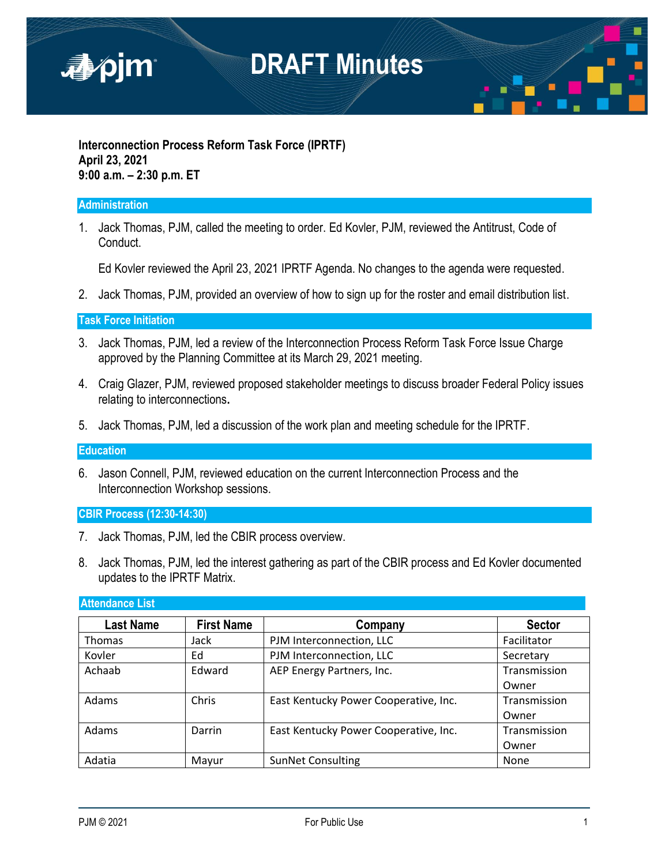

#### **Interconnection Process Reform Task Force (IPRTF) April 23, 2021 9:00 a.m. – 2:30 p.m. ET**

#### **Administration**

1. Jack Thomas, PJM, called the meeting to order. Ed Kovler, PJM, reviewed the Antitrust, Code of Conduct.

Ed Kovler reviewed the April 23, 2021 IPRTF Agenda. No changes to the agenda were requested.

2. Jack Thomas, PJM, provided an overview of how to sign up for the roster and email distribution list.

#### **Task Force Initiation**

- 3. Jack Thomas, PJM, led a review of the Interconnection Process Reform Task Force Issue Charge approved by the Planning Committee at its March 29, 2021 meeting.
- 4. Craig Glazer, PJM, reviewed proposed stakeholder meetings to discuss broader Federal Policy issues relating to interconnections**.**
- 5. Jack Thomas, PJM, led a discussion of the work plan and meeting schedule for the IPRTF.

#### **Education**

6. Jason Connell, PJM, reviewed education on the current Interconnection Process and the Interconnection Workshop sessions.

#### **CBIR Process (12:30-14:30)**

- 7. Jack Thomas, PJM, led the CBIR process overview.
- 8. Jack Thomas, PJM, led the interest gathering as part of the CBIR process and Ed Kovler documented updates to the IPRTF Matrix.

#### **Attendance List**

| <b>Last Name</b> | <b>First Name</b> | Company                               | <b>Sector</b> |
|------------------|-------------------|---------------------------------------|---------------|
| <b>Thomas</b>    | Jack              | PJM Interconnection, LLC              | Facilitator   |
| Kovler           | Ed                | PJM Interconnection, LLC              | Secretary     |
| Achaab           | Edward            | AEP Energy Partners, Inc.             | Transmission  |
|                  |                   |                                       | Owner         |
| Adams            | Chris             | East Kentucky Power Cooperative, Inc. | Transmission  |
|                  |                   |                                       | Owner         |
| Adams            | Darrin            | East Kentucky Power Cooperative, Inc. | Transmission  |
|                  |                   |                                       | Owner         |
| Adatia           | Mayur             | <b>SunNet Consulting</b>              | None          |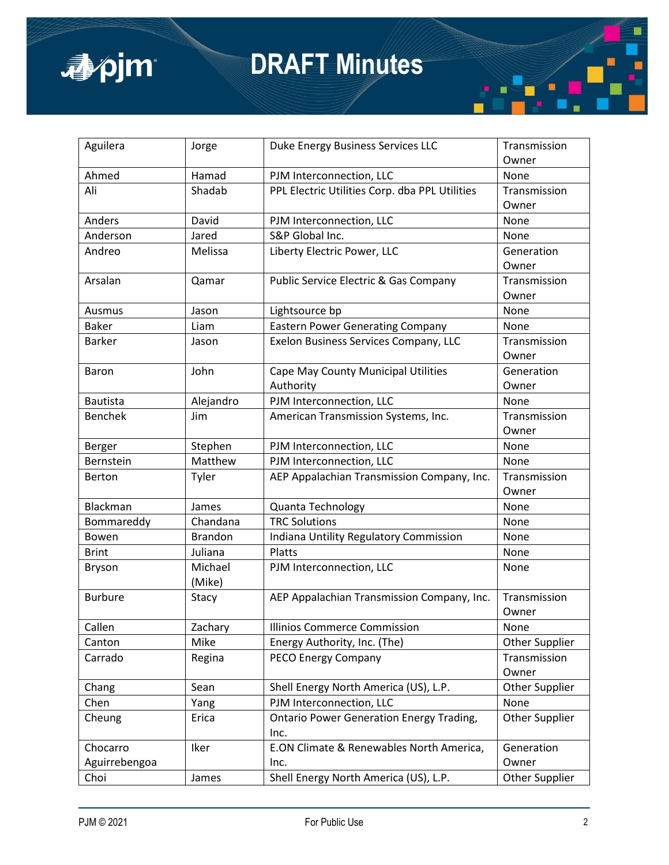

| Aguilera        | Jorge          | Duke Energy Business Services LLC               | Transmission          |
|-----------------|----------------|-------------------------------------------------|-----------------------|
|                 |                |                                                 | Owner                 |
| Ahmed           | Hamad          | PJM Interconnection, LLC                        | None                  |
| Ali             | Shadab         | PPL Electric Utilities Corp. dba PPL Utilities  | Transmission          |
|                 |                |                                                 | Owner                 |
| Anders          | David          | PJM Interconnection, LLC                        | None                  |
| Anderson        | Jared          | S&P Global Inc.                                 | None                  |
| Andreo          | Melissa        | Liberty Electric Power, LLC                     | Generation            |
|                 |                |                                                 | Owner                 |
| Arsalan         | Qamar          | Public Service Electric & Gas Company           | Transmission          |
|                 |                |                                                 | Owner                 |
| Ausmus          | Jason          | Lightsource bp                                  | None                  |
| <b>Baker</b>    | Liam           | <b>Eastern Power Generating Company</b>         | None                  |
| <b>Barker</b>   | Jason          | Exelon Business Services Company, LLC           | Transmission          |
|                 |                |                                                 | Owner                 |
| Baron           | John           | Cape May County Municipal Utilities             | Generation            |
|                 |                | Authority                                       | Owner                 |
| <b>Bautista</b> | Alejandro      | PJM Interconnection, LLC                        | None                  |
| <b>Benchek</b>  | Jim            | American Transmission Systems, Inc.             | Transmission          |
|                 |                |                                                 | Owner                 |
| Berger          | Stephen        | PJM Interconnection, LLC                        | None                  |
| Bernstein       | Matthew        | PJM Interconnection, LLC                        | None                  |
| Berton          | Tyler          | AEP Appalachian Transmission Company, Inc.      | Transmission          |
|                 |                |                                                 | Owner                 |
| Blackman        | James          | Quanta Technology                               | None                  |
| Bommareddy      | Chandana       | <b>TRC Solutions</b>                            | None                  |
| Bowen           | <b>Brandon</b> | Indiana Untility Regulatory Commission          | None                  |
| <b>Brint</b>    | Juliana        | Platts                                          | None                  |
| <b>Bryson</b>   | Michael        | PJM Interconnection, LLC                        | None                  |
|                 | (Mike)         |                                                 |                       |
| <b>Burbure</b>  | Stacy          | AEP Appalachian Transmission Company, Inc.      | Transmission          |
|                 |                |                                                 | Owner                 |
| Callen          | Zachary        | Illinios Commerce Commission                    | None                  |
| Canton          | Mike           | Energy Authority, Inc. (The)                    | <b>Other Supplier</b> |
| Carrado         | Regina         | <b>PECO Energy Company</b>                      | Transmission          |
|                 |                |                                                 | Owner                 |
| Chang           | Sean           | Shell Energy North America (US), L.P.           | Other Supplier        |
| Chen            | Yang           | PJM Interconnection, LLC                        | None                  |
| Cheung          | Erica          | <b>Ontario Power Generation Energy Trading,</b> | <b>Other Supplier</b> |
|                 |                | Inc.                                            |                       |
| Chocarro        | Iker           | E.ON Climate & Renewables North America,        | Generation            |
| Aguirrebengoa   |                | Inc.                                            | Owner                 |
| Choi            | James          | Shell Energy North America (US), L.P.           | <b>Other Supplier</b> |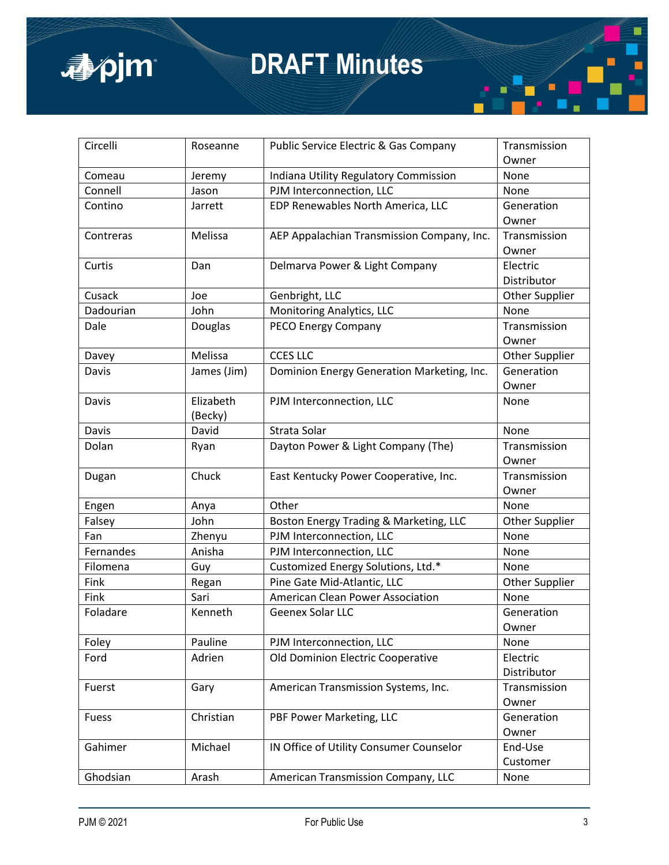

| Circelli      | Roseanne         | Public Service Electric & Gas Company                              | Transmission                  |
|---------------|------------------|--------------------------------------------------------------------|-------------------------------|
|               |                  |                                                                    | Owner                         |
| Comeau        | Jeremy           | Indiana Utility Regulatory Commission                              | None                          |
| Connell       | Jason            | PJM Interconnection, LLC                                           | None                          |
| Contino       | Jarrett          | EDP Renewables North America, LLC                                  | Generation                    |
|               |                  |                                                                    | Owner                         |
| Contreras     | Melissa          | AEP Appalachian Transmission Company, Inc.                         | Transmission                  |
|               |                  |                                                                    | Owner                         |
| Curtis        | Dan              | Delmarva Power & Light Company                                     | Electric                      |
|               |                  |                                                                    | Distributor                   |
| Cusack        | Joe              | Genbright, LLC                                                     | <b>Other Supplier</b>         |
| Dadourian     | John             | Monitoring Analytics, LLC                                          | None                          |
| Dale          | Douglas          | <b>PECO Energy Company</b>                                         | Transmission                  |
|               |                  |                                                                    | Owner                         |
| Davey         | Melissa          | <b>CCES LLC</b>                                                    | <b>Other Supplier</b>         |
| Davis         | James (Jim)      | Dominion Energy Generation Marketing, Inc.                         | Generation                    |
|               |                  |                                                                    | Owner                         |
| Davis         | Elizabeth        | PJM Interconnection, LLC                                           | None                          |
|               | (Becky)          |                                                                    |                               |
| Davis         | David            | Strata Solar                                                       | None                          |
| Dolan         | Ryan             | Dayton Power & Light Company (The)                                 | Transmission                  |
|               |                  |                                                                    | Owner                         |
| Dugan         | Chuck            | East Kentucky Power Cooperative, Inc.                              | Transmission                  |
|               |                  | Other                                                              | Owner<br>None                 |
| Engen         | Anya<br>John     |                                                                    |                               |
| Falsey<br>Fan |                  | Boston Energy Trading & Marketing, LLC<br>PJM Interconnection, LLC | <b>Other Supplier</b><br>None |
| Fernandes     | Zhenyu<br>Anisha | PJM Interconnection, LLC                                           | None                          |
| Filomena      |                  |                                                                    | None                          |
|               | Guy              | Customized Energy Solutions, Ltd.*                                 |                               |
| Fink<br>Fink  | Regan<br>Sari    | Pine Gate Mid-Atlantic, LLC<br>American Clean Power Association    | <b>Other Supplier</b><br>None |
| Foladare      | Kenneth          | Geenex Solar LLC                                                   | Generation                    |
|               |                  |                                                                    |                               |
| Foley         | Pauline          | PJM Interconnection, LLC                                           | Owner<br>None                 |
| Ford          | Adrien           | Old Dominion Electric Cooperative                                  | Electric                      |
|               |                  |                                                                    | Distributor                   |
| Fuerst        | Gary             | American Transmission Systems, Inc.                                | Transmission                  |
|               |                  |                                                                    | Owner                         |
| <b>Fuess</b>  | Christian        | PBF Power Marketing, LLC                                           | Generation                    |
|               |                  |                                                                    | Owner                         |
| Gahimer       | Michael          | IN Office of Utility Consumer Counselor                            | End-Use                       |
|               |                  |                                                                    | Customer                      |
| Ghodsian      | Arash            | American Transmission Company, LLC                                 | None                          |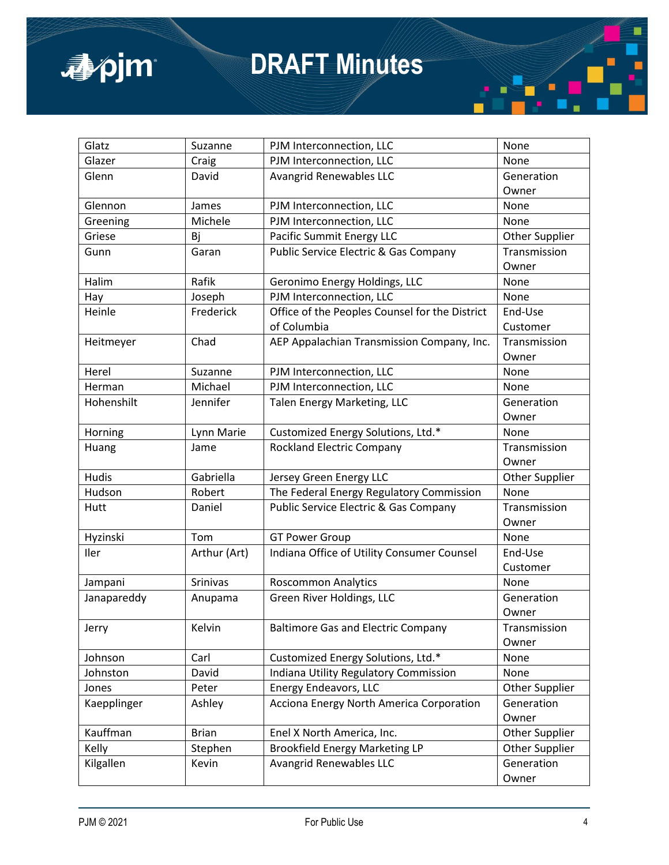

| Glatz       | Suzanne      | PJM Interconnection, LLC                         | None                  |
|-------------|--------------|--------------------------------------------------|-----------------------|
| Glazer      | Craig        | PJM Interconnection, LLC                         | None                  |
| Glenn       | David        | <b>Avangrid Renewables LLC</b>                   | Generation            |
|             |              |                                                  | Owner                 |
| Glennon     | James        | PJM Interconnection, LLC                         | None                  |
| Greening    | Michele      | PJM Interconnection, LLC                         | None                  |
| Griese      | Bj           | Pacific Summit Energy LLC                        | <b>Other Supplier</b> |
| Gunn        | Garan        | <b>Public Service Electric &amp; Gas Company</b> | Transmission          |
|             |              |                                                  | Owner                 |
| Halim       | Rafik        | Geronimo Energy Holdings, LLC                    | None                  |
| Hay         | Joseph       | PJM Interconnection, LLC                         | None                  |
| Heinle      | Frederick    | Office of the Peoples Counsel for the District   | End-Use               |
|             |              | of Columbia                                      | Customer              |
| Heitmeyer   | Chad         | AEP Appalachian Transmission Company, Inc.       | Transmission          |
|             |              |                                                  | Owner                 |
| Herel       | Suzanne      | PJM Interconnection, LLC                         | None                  |
| Herman      | Michael      | PJM Interconnection, LLC                         | None                  |
| Hohenshilt  | Jennifer     | Talen Energy Marketing, LLC                      | Generation            |
|             |              |                                                  | Owner                 |
| Horning     | Lynn Marie   | Customized Energy Solutions, Ltd.*               | None                  |
| Huang       | Jame         | <b>Rockland Electric Company</b>                 | Transmission          |
|             |              |                                                  | Owner                 |
| Hudis       | Gabriella    | Jersey Green Energy LLC                          | Other Supplier        |
| Hudson      | Robert       | The Federal Energy Regulatory Commission         | None                  |
| Hutt        | Daniel       | Public Service Electric & Gas Company            | Transmission          |
|             |              |                                                  | Owner                 |
| Hyzinski    | Tom          | <b>GT Power Group</b>                            | None                  |
| Iler        | Arthur (Art) | Indiana Office of Utility Consumer Counsel       | End-Use               |
|             |              |                                                  | Customer              |
| Jampani     | Srinivas     | <b>Roscommon Analytics</b>                       | None                  |
| Janapareddy | Anupama      | Green River Holdings, LLC                        | Generation            |
|             |              |                                                  | Owner                 |
| Jerry       | Kelvin       | <b>Baltimore Gas and Electric Company</b>        | Transmission          |
|             |              |                                                  | Owner                 |
| Johnson     | Carl         | Customized Energy Solutions, Ltd.*               | None                  |
| Johnston    | David        | Indiana Utility Regulatory Commission            | None                  |
| Jones       | Peter        | Energy Endeavors, LLC                            | <b>Other Supplier</b> |
| Kaepplinger | Ashley       | Acciona Energy North America Corporation         | Generation            |
|             |              |                                                  | Owner                 |
| Kauffman    | <b>Brian</b> | Enel X North America, Inc.                       | <b>Other Supplier</b> |
| Kelly       | Stephen      | <b>Brookfield Energy Marketing LP</b>            | Other Supplier        |
| Kilgallen   | Kevin        | Avangrid Renewables LLC                          | Generation            |
|             |              |                                                  | Owner                 |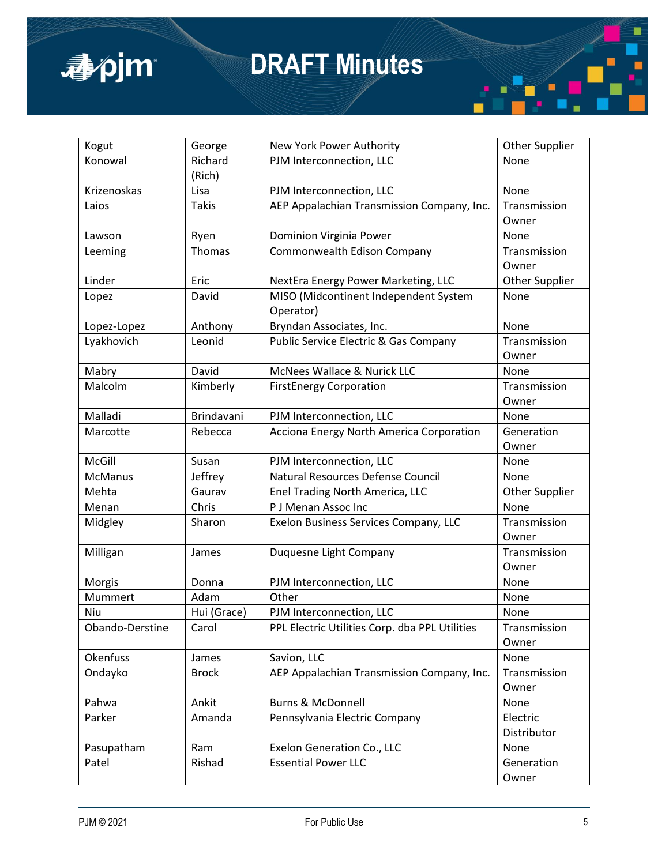

| Kogut           | George       | New York Power Authority                         | <b>Other Supplier</b> |
|-----------------|--------------|--------------------------------------------------|-----------------------|
| Konowal         | Richard      | PJM Interconnection, LLC                         | None                  |
|                 | (Rich)       |                                                  |                       |
| Krizenoskas     | Lisa         | PJM Interconnection, LLC                         | None                  |
| Laios           | <b>Takis</b> | AEP Appalachian Transmission Company, Inc.       | Transmission          |
|                 |              |                                                  | Owner                 |
| Lawson          | Ryen         | Dominion Virginia Power                          | None                  |
| Leeming         | Thomas       | Commonwealth Edison Company                      | Transmission          |
|                 |              |                                                  | Owner                 |
| Linder          | Eric         | NextEra Energy Power Marketing, LLC              | Other Supplier        |
| Lopez           | David        | MISO (Midcontinent Independent System            | None                  |
|                 |              | Operator)                                        |                       |
| Lopez-Lopez     | Anthony      | Bryndan Associates, Inc.                         | None                  |
| Lyakhovich      | Leonid       | <b>Public Service Electric &amp; Gas Company</b> | Transmission          |
|                 |              |                                                  | Owner                 |
| Mabry           | David        | McNees Wallace & Nurick LLC                      | None                  |
| Malcolm         | Kimberly     | <b>FirstEnergy Corporation</b>                   | Transmission          |
|                 |              |                                                  | Owner                 |
| Malladi         | Brindavani   | PJM Interconnection, LLC                         | None                  |
| Marcotte        | Rebecca      | Acciona Energy North America Corporation         | Generation            |
|                 |              |                                                  | Owner                 |
| McGill          | Susan        | PJM Interconnection, LLC                         | None                  |
| <b>McManus</b>  | Jeffrey      | Natural Resources Defense Council                | None                  |
| Mehta           | Gaurav       | Enel Trading North America, LLC                  | <b>Other Supplier</b> |
| Menan           | Chris        | P J Menan Assoc Inc                              | None                  |
| Midgley         | Sharon       | Exelon Business Services Company, LLC            | Transmission          |
|                 |              |                                                  | Owner                 |
| Milligan        | James        | Duquesne Light Company                           | Transmission          |
|                 |              |                                                  | Owner                 |
| Morgis          | Donna        | PJM Interconnection, LLC                         | None                  |
| Mummert         | Adam         | Other                                            | None                  |
| Niu             | Hui (Grace)  | PJM Interconnection, LLC                         | None                  |
| Obando-Derstine | Carol        | PPL Electric Utilities Corp. dba PPL Utilities   | Transmission          |
|                 |              |                                                  | Owner                 |
| Okenfuss        | James        | Savion, LLC                                      | None                  |
| Ondayko         | <b>Brock</b> | AEP Appalachian Transmission Company, Inc.       | Transmission          |
|                 |              |                                                  | Owner                 |
| Pahwa           | Ankit        | <b>Burns &amp; McDonnell</b>                     | None                  |
| Parker          | Amanda       | Pennsylvania Electric Company                    | Electric              |
|                 |              |                                                  | Distributor           |
| Pasupatham      | Ram          | Exelon Generation Co., LLC                       | None                  |
| Patel           | Rishad       | <b>Essential Power LLC</b>                       | Generation            |
|                 |              |                                                  | Owner                 |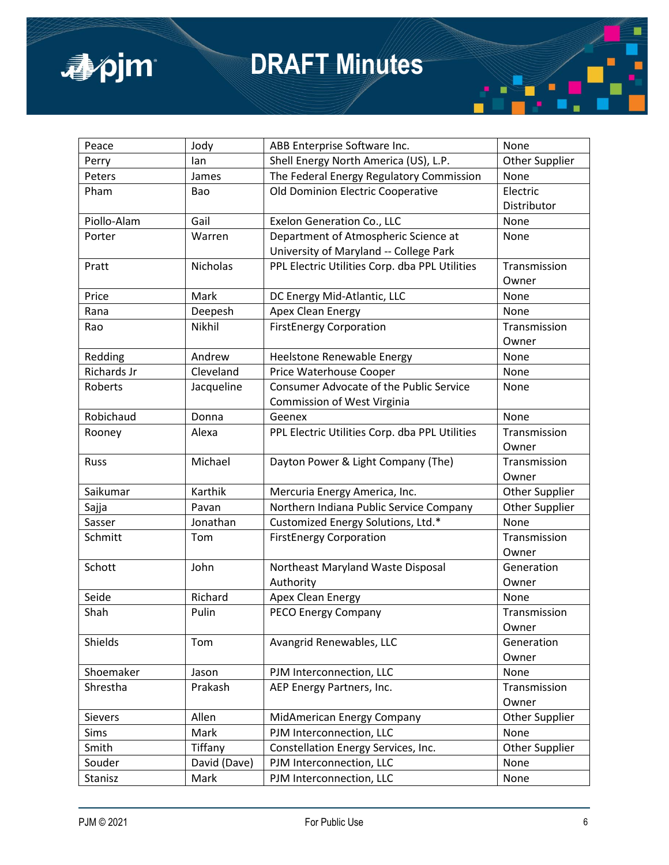

| Peace          | Jody         | ABB Enterprise Software Inc.                   | None                  |
|----------------|--------------|------------------------------------------------|-----------------------|
| Perry          | lan          | Shell Energy North America (US), L.P.          | Other Supplier        |
| Peters         | James        | The Federal Energy Regulatory Commission       | None                  |
| Pham           | Bao          | Old Dominion Electric Cooperative              | Electric              |
|                |              |                                                | Distributor           |
| Piollo-Alam    | Gail         | Exelon Generation Co., LLC                     | None                  |
| Porter         | Warren       | Department of Atmospheric Science at           | None                  |
|                |              | University of Maryland -- College Park         |                       |
| Pratt          | Nicholas     | PPL Electric Utilities Corp. dba PPL Utilities | Transmission          |
|                |              |                                                | Owner                 |
| Price          | Mark         | DC Energy Mid-Atlantic, LLC                    | None                  |
| Rana           | Deepesh      | Apex Clean Energy                              | None                  |
| Rao            | Nikhil       | <b>FirstEnergy Corporation</b>                 | Transmission          |
|                |              |                                                | Owner                 |
| Redding        | Andrew       | Heelstone Renewable Energy                     | None                  |
| Richards Jr    | Cleveland    | Price Waterhouse Cooper                        | None                  |
| Roberts        | Jacqueline   | Consumer Advocate of the Public Service        | None                  |
|                |              | <b>Commission of West Virginia</b>             |                       |
| Robichaud      | Donna        | Geenex                                         | None                  |
| Rooney         | Alexa        | PPL Electric Utilities Corp. dba PPL Utilities | Transmission          |
|                |              |                                                | Owner                 |
| Russ           | Michael      | Dayton Power & Light Company (The)             | Transmission          |
|                |              |                                                | Owner                 |
| Saikumar       | Karthik      | Mercuria Energy America, Inc.                  | <b>Other Supplier</b> |
| Sajja          | Pavan        | Northern Indiana Public Service Company        | Other Supplier        |
| Sasser         | Jonathan     | Customized Energy Solutions, Ltd.*             | None                  |
| Schmitt        | Tom          | <b>FirstEnergy Corporation</b>                 | Transmission          |
|                |              |                                                | Owner                 |
| Schott         | John         | Northeast Maryland Waste Disposal              | Generation            |
|                |              | Authority                                      | Owner                 |
| Seide          | Richard      | Apex Clean Energy                              | None                  |
| Shah           | Pulin        | PECO Energy Company                            | Transmission          |
|                |              |                                                | Owner                 |
| Shields        | Tom          | Avangrid Renewables, LLC                       | Generation            |
|                |              |                                                | Owner                 |
| Shoemaker      | Jason        | PJM Interconnection, LLC                       | None                  |
| Shrestha       | Prakash      | AEP Energy Partners, Inc.                      | Transmission          |
|                |              |                                                | Owner                 |
| <b>Sievers</b> | Allen        | MidAmerican Energy Company                     | Other Supplier        |
| Sims           | Mark         | PJM Interconnection, LLC                       | None                  |
| Smith          | Tiffany      | Constellation Energy Services, Inc.            | <b>Other Supplier</b> |
| Souder         | David (Dave) | PJM Interconnection, LLC                       | None                  |
| Stanisz        | Mark         | PJM Interconnection, LLC                       | None                  |